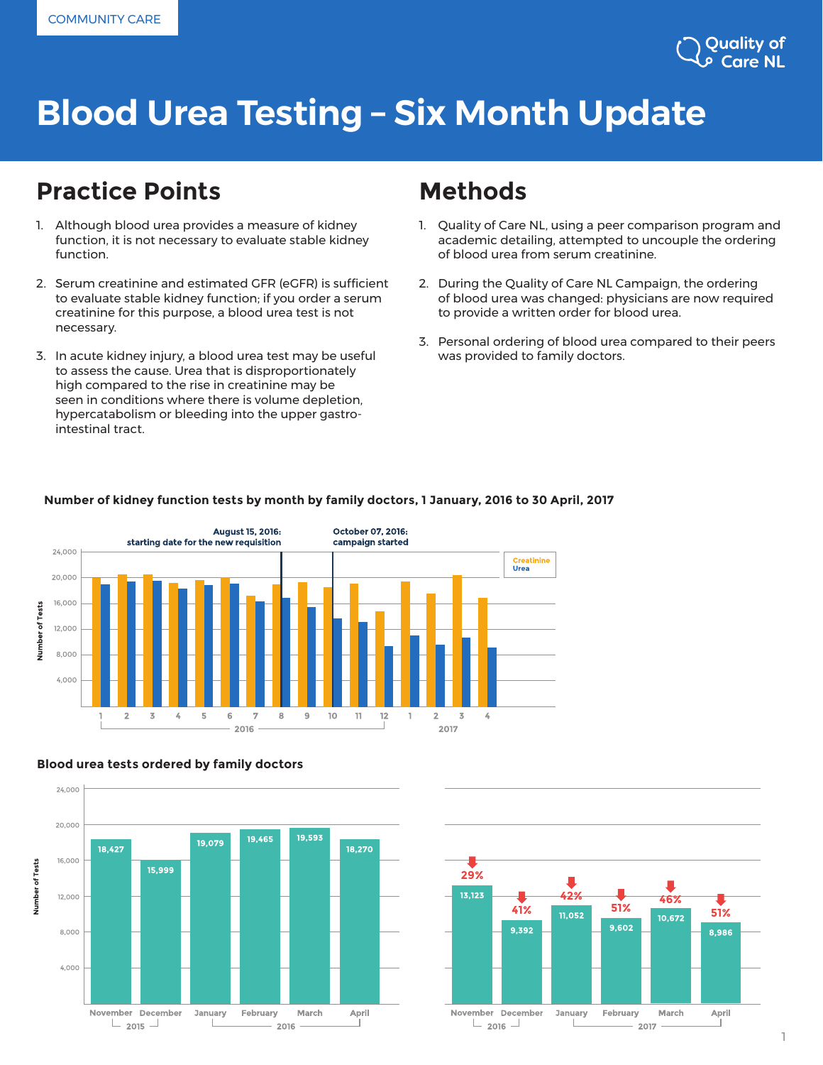# **Blood Urea Testing – Six Month Update**

### **Practice Points Methods**

- 1. Although blood urea provides a measure of kidney function, it is not necessary to evaluate stable kidney function.
- 2. Serum creatinine and estimated GFR (eGFR) is sufficient to evaluate stable kidney function; if you order a serum creatinine for this purpose, a blood urea test is not necessary.
- 3. In acute kidney injury, a blood urea test may be useful to assess the cause. Urea that is disproportionately high compared to the rise in creatinine may be seen in conditions where there is volume depletion, hypercatabolism or bleeding into the upper gastrointestinal tract.

- 1. Quality of Care NL, using a peer comparison program and academic detailing, attempted to uncouple the ordering of blood urea from serum creatinine.
- 2. During the Quality of Care NL Campaign, the ordering of blood urea was changed: physicians are now required to provide a written order for blood urea.
- 3. Personal ordering of blood urea compared to their peers was provided to family doctors.





#### **29%** 13,123 **42% 46% 51% 41% 51%** 11,052 10.672 9,602 9,392 8.986 November December January February March April  $\perp$  2016  $\perp$ T. 2017

### **Number of kidney function tests by month by family doctors, 1 January, 2016 to 30 April, 2017**